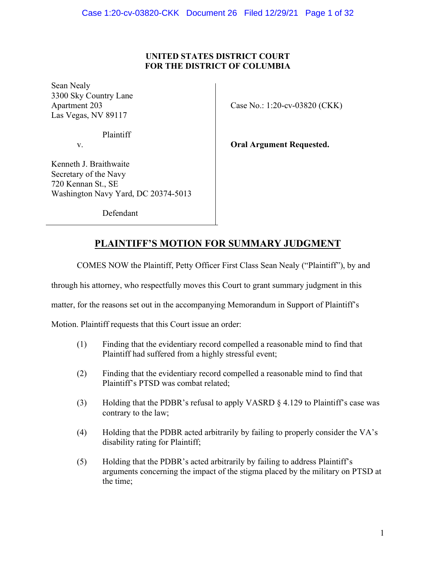## UNITED STATES DISTRICT COURT FOR THE DISTRICT OF COLUMBIA

Sean Nealy 3300 Sky Country Lane Las Vegas, NV 89117

Plaintiff

 $\overline{a}$ 

Kenneth J. Braithwaite

Apartment 203 Case No.: 1:20-cv-03820 (CKK)

v. **Oral Argument Requested.** 

Secretary of the Navy 720 Kennan St., SE Washington Navy Yard, DC 20374-5013

Defendant

## PLAINTIFF'S MOTION FOR SUMMARY JUDGMENT

COMES NOW the Plaintiff, Petty Officer First Class Sean Nealy ("Plaintiff"), by and

through his attorney, who respectfully moves this Court to grant summary judgment in this

matter, for the reasons set out in the accompanying Memorandum in Support of Plaintiff's

Motion. Plaintiff requests that this Court issue an order:

- (1) Finding that the evidentiary record compelled a reasonable mind to find that Plaintiff had suffered from a highly stressful event;
- (2) Finding that the evidentiary record compelled a reasonable mind to find that Plaintiff's PTSD was combat related;
- (3) Holding that the PDBR's refusal to apply VASRD  $\S$  4.129 to Plaintiff's case was contrary to the law;
- (4) Holding that the PDBR acted arbitrarily by failing to properly consider the VA's disability rating for Plaintiff;
- (5) Holding that the PDBR's acted arbitrarily by failing to address Plaintiff's arguments concerning the impact of the stigma placed by the military on PTSD at the time;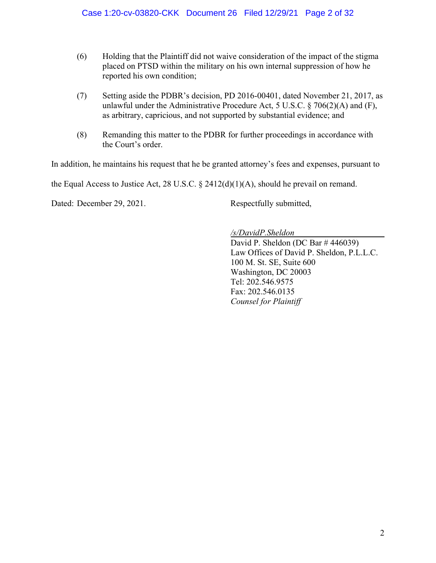- (6) Holding that the Plaintiff did not waive consideration of the impact of the stigma placed on PTSD within the military on his own internal suppression of how he reported his own condition;
- (7) Setting aside the PDBR's decision, PD 2016-00401, dated November 21, 2017, as unlawful under the Administrative Procedure Act, 5 U.S.C. § 706(2)(A) and (F), as arbitrary, capricious, and not supported by substantial evidence; and
- (8) Remanding this matter to the PDBR for further proceedings in accordance with the Court's order.

In addition, he maintains his request that he be granted attorney's fees and expenses, pursuant to

the Equal Access to Justice Act, 28 U.S.C.  $\S$  2412(d)(1)(A), should he prevail on remand.

Dated: December 29, 2021. Respectfully submitted,

### /s/DavidP.Sheldon

David P. Sheldon (DC Bar # 446039) Law Offices of David P. Sheldon, P.L.L.C. 100 M. St. SE, Suite 600 Washington, DC 20003 Tel: 202.546.9575 Fax: 202.546.0135 Counsel for Plaintiff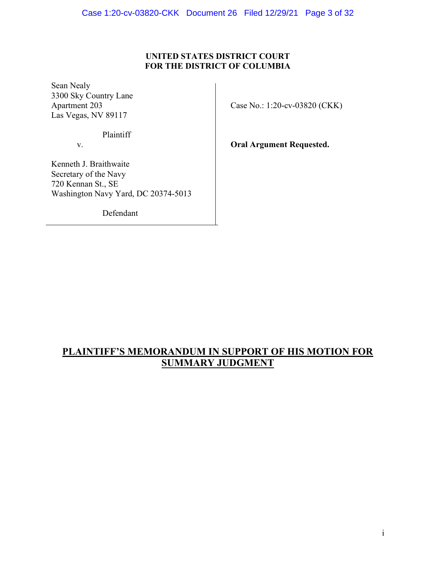## UNITED STATES DISTRICT COURT FOR THE DISTRICT OF COLUMBIA

Sean Nealy 3300 Sky Country Lane Las Vegas, NV 89117

Case No.: 1:20-cv-03820 (CKK)

Plaintiff

 $\overline{a}$ 

v. **Oral Argument Requested.** 

Kenneth J. Braithwaite Secretary of the Navy 720 Kennan St., SE Washington Navy Yard, DC 20374-5013

Defendant

## PLAINTIFF'S MEMORANDUM IN SUPPORT OF HIS MOTION FOR SUMMARY JUDGMENT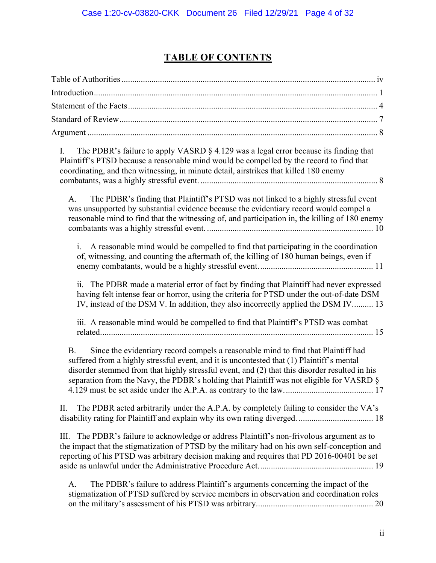# TABLE OF CONTENTS

| The PDBR's failure to apply VASRD $\S$ 4.129 was a legal error because its finding that<br>I.<br>Plaintiff's PTSD because a reasonable mind would be compelled by the record to find that<br>coordinating, and then witnessing, in minute detail, airstrikes that killed 180 enemy                                                                                                       |
|------------------------------------------------------------------------------------------------------------------------------------------------------------------------------------------------------------------------------------------------------------------------------------------------------------------------------------------------------------------------------------------|
| The PDBR's finding that Plaintiff's PTSD was not linked to a highly stressful event<br>A.<br>was unsupported by substantial evidence because the evidentiary record would compel a<br>reasonable mind to find that the witnessing of, and participation in, the killing of 180 enemy                                                                                                     |
| A reasonable mind would be compelled to find that participating in the coordination<br>i.<br>of, witnessing, and counting the aftermath of, the killing of 180 human beings, even if                                                                                                                                                                                                     |
| ii.<br>The PDBR made a material error of fact by finding that Plaintiff had never expressed<br>having felt intense fear or horror, using the criteria for PTSD under the out-of-date DSM<br>IV, instead of the DSM V. In addition, they also incorrectly applied the DSM IV 13                                                                                                           |
| iii. A reasonable mind would be compelled to find that Plaintiff's PTSD was combat                                                                                                                                                                                                                                                                                                       |
| Since the evidentiary record compels a reasonable mind to find that Plaintiff had<br><b>B.</b><br>suffered from a highly stressful event, and it is uncontested that (1) Plaintiff's mental<br>disorder stemmed from that highly stressful event, and (2) that this disorder resulted in his<br>separation from the Navy, the PDBR's holding that Plaintiff was not eligible for VASRD § |
| The PDBR acted arbitrarily under the A.P.A. by completely failing to consider the VA's<br>Π.                                                                                                                                                                                                                                                                                             |
| The PDBR's failure to acknowledge or address Plaintiff's non-frivolous argument as to<br>III.<br>the impact that the stigmatization of PTSD by the military had on his own self-conception and<br>reporting of his PTSD was arbitrary decision making and requires that PD 2016-00401 be set                                                                                             |
| The PDBR's failure to address Plaintiff's arguments concerning the impact of the<br>A.<br>stigmatization of PTSD suffered by service members in observation and coordination roles                                                                                                                                                                                                       |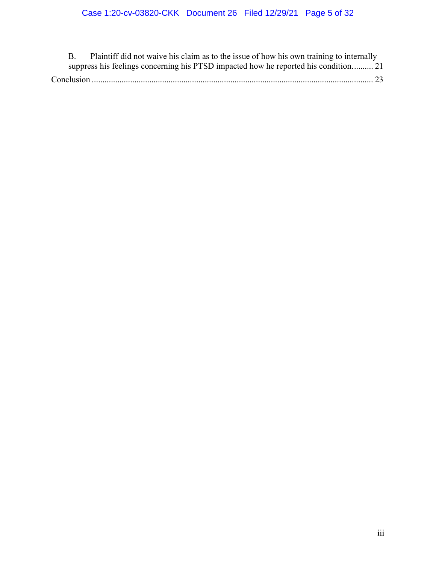|  | Plaintiff did not waive his claim as to the issue of how his own training to internally |  |
|--|-----------------------------------------------------------------------------------------|--|
|  | suppress his feelings concerning his PTSD impacted how he reported his condition 21     |  |
|  |                                                                                         |  |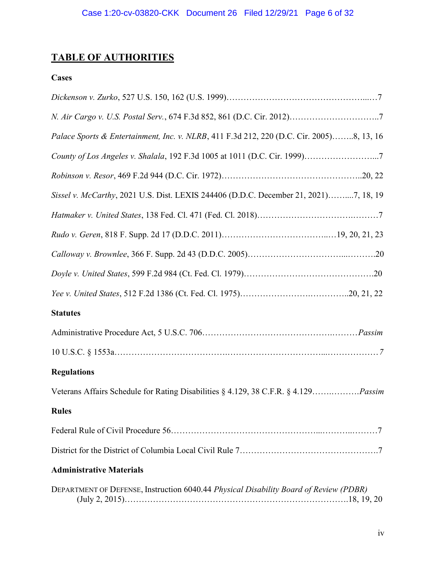# TABLE OF AUTHORITIES

## **Cases**

| Palace Sports & Entertainment, Inc. v. NLRB, 411 F.3d 212, 220 (D.C. Cir. 2005)8, 13, 16   |
|--------------------------------------------------------------------------------------------|
| County of Los Angeles v. Shalala, 192 F.3d 1005 at 1011 (D.C. Cir. 1999)7                  |
|                                                                                            |
| Sissel v. McCarthy, 2021 U.S. Dist. LEXIS 244406 (D.D.C. December 21, 2021)7, 18, 19       |
|                                                                                            |
|                                                                                            |
|                                                                                            |
|                                                                                            |
|                                                                                            |
| <b>Statutes</b>                                                                            |
|                                                                                            |
|                                                                                            |
| <b>Regulations</b>                                                                         |
| Veterans Affairs Schedule for Rating Disabilities § 4.129, 38 C.F.R. § 4.129 <i>Passim</i> |
| <b>Rules</b>                                                                               |
|                                                                                            |
|                                                                                            |
| <b>Administrative Materials</b>                                                            |
| DEPARTMENT OF DEFENSE, Instruction 6040.44 Physical Disability Board of Review (PDBR)      |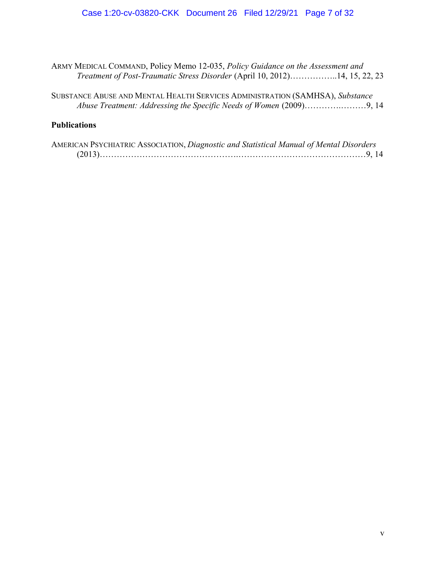## Case 1:20-cv-03820-CKK Document 26 Filed 12/29/21 Page 7 of 32

ARMY MEDICAL COMMAND, Policy Memo 12-035, Policy Guidance on the Assessment and Treatment of Post-Traumatic Stress Disorder (April 10, 2012)……………..14, 15, 22, 23

| SUBSTANCE ABUSE AND MENTAL HEALTH SERVICES ADMINISTRATION (SAMHSA), Substance |  |
|-------------------------------------------------------------------------------|--|
|                                                                               |  |

## **Publications**

| AMERICAN PSYCHIATRIC ASSOCIATION, Diagnostic and Statistical Manual of Mental Disorders |  |
|-----------------------------------------------------------------------------------------|--|
|                                                                                         |  |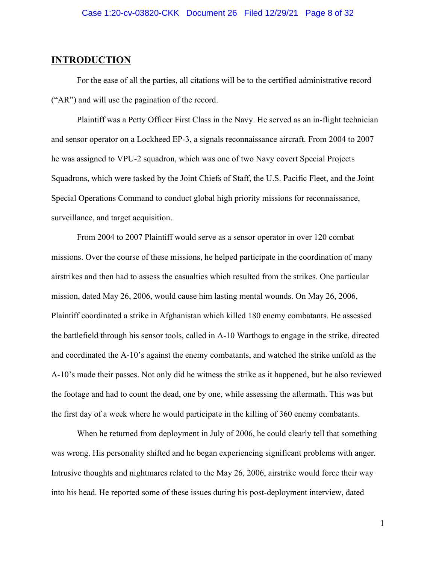## **INTRODUCTION**

 For the ease of all the parties, all citations will be to the certified administrative record ("AR") and will use the pagination of the record.

 Plaintiff was a Petty Officer First Class in the Navy. He served as an in-flight technician and sensor operator on a Lockheed EP-3, a signals reconnaissance aircraft. From 2004 to 2007 he was assigned to VPU-2 squadron, which was one of two Navy covert Special Projects Squadrons, which were tasked by the Joint Chiefs of Staff, the U.S. Pacific Fleet, and the Joint Special Operations Command to conduct global high priority missions for reconnaissance, surveillance, and target acquisition.

 From 2004 to 2007 Plaintiff would serve as a sensor operator in over 120 combat missions. Over the course of these missions, he helped participate in the coordination of many airstrikes and then had to assess the casualties which resulted from the strikes. One particular mission, dated May 26, 2006, would cause him lasting mental wounds. On May 26, 2006, Plaintiff coordinated a strike in Afghanistan which killed 180 enemy combatants. He assessed the battlefield through his sensor tools, called in A-10 Warthogs to engage in the strike, directed and coordinated the A-10's against the enemy combatants, and watched the strike unfold as the A-10's made their passes. Not only did he witness the strike as it happened, but he also reviewed the footage and had to count the dead, one by one, while assessing the aftermath. This was but the first day of a week where he would participate in the killing of 360 enemy combatants.

 When he returned from deployment in July of 2006, he could clearly tell that something was wrong. His personality shifted and he began experiencing significant problems with anger. Intrusive thoughts and nightmares related to the May 26, 2006, airstrike would force their way into his head. He reported some of these issues during his post-deployment interview, dated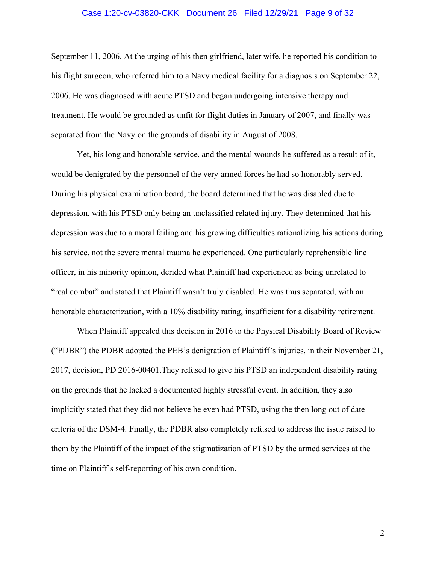### Case 1:20-cv-03820-CKK Document 26 Filed 12/29/21 Page 9 of 32

September 11, 2006. At the urging of his then girlfriend, later wife, he reported his condition to his flight surgeon, who referred him to a Navy medical facility for a diagnosis on September 22, 2006. He was diagnosed with acute PTSD and began undergoing intensive therapy and treatment. He would be grounded as unfit for flight duties in January of 2007, and finally was separated from the Navy on the grounds of disability in August of 2008.

 Yet, his long and honorable service, and the mental wounds he suffered as a result of it, would be denigrated by the personnel of the very armed forces he had so honorably served. During his physical examination board, the board determined that he was disabled due to depression, with his PTSD only being an unclassified related injury. They determined that his depression was due to a moral failing and his growing difficulties rationalizing his actions during his service, not the severe mental trauma he experienced. One particularly reprehensible line officer, in his minority opinion, derided what Plaintiff had experienced as being unrelated to "real combat" and stated that Plaintiff wasn't truly disabled. He was thus separated, with an honorable characterization, with a 10% disability rating, insufficient for a disability retirement.

 When Plaintiff appealed this decision in 2016 to the Physical Disability Board of Review ("PDBR") the PDBR adopted the PEB's denigration of Plaintiff's injuries, in their November 21, 2017, decision, PD 2016-00401.They refused to give his PTSD an independent disability rating on the grounds that he lacked a documented highly stressful event. In addition, they also implicitly stated that they did not believe he even had PTSD, using the then long out of date criteria of the DSM-4. Finally, the PDBR also completely refused to address the issue raised to them by the Plaintiff of the impact of the stigmatization of PTSD by the armed services at the time on Plaintiff's self-reporting of his own condition.

2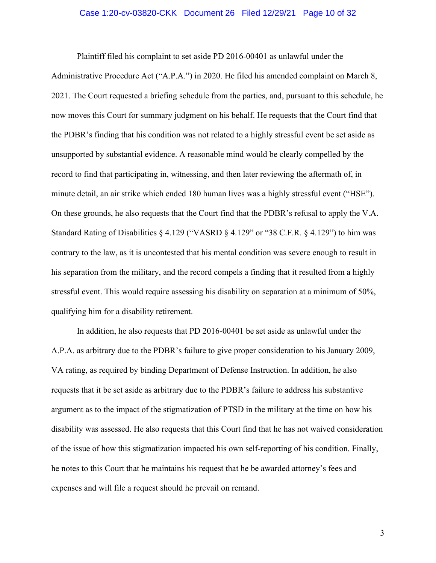#### Case 1:20-cv-03820-CKK Document 26 Filed 12/29/21 Page 10 of 32

 Plaintiff filed his complaint to set aside PD 2016-00401 as unlawful under the Administrative Procedure Act ("A.P.A.") in 2020. He filed his amended complaint on March 8, 2021. The Court requested a briefing schedule from the parties, and, pursuant to this schedule, he now moves this Court for summary judgment on his behalf. He requests that the Court find that the PDBR's finding that his condition was not related to a highly stressful event be set aside as unsupported by substantial evidence. A reasonable mind would be clearly compelled by the record to find that participating in, witnessing, and then later reviewing the aftermath of, in minute detail, an air strike which ended 180 human lives was a highly stressful event ("HSE"). On these grounds, he also requests that the Court find that the PDBR's refusal to apply the V.A. Standard Rating of Disabilities § 4.129 ("VASRD § 4.129" or "38 C.F.R. § 4.129") to him was contrary to the law, as it is uncontested that his mental condition was severe enough to result in his separation from the military, and the record compels a finding that it resulted from a highly stressful event. This would require assessing his disability on separation at a minimum of 50%, qualifying him for a disability retirement.

 In addition, he also requests that PD 2016-00401 be set aside as unlawful under the A.P.A. as arbitrary due to the PDBR's failure to give proper consideration to his January 2009, VA rating, as required by binding Department of Defense Instruction. In addition, he also requests that it be set aside as arbitrary due to the PDBR's failure to address his substantive argument as to the impact of the stigmatization of PTSD in the military at the time on how his disability was assessed. He also requests that this Court find that he has not waived consideration of the issue of how this stigmatization impacted his own self-reporting of his condition. Finally, he notes to this Court that he maintains his request that he be awarded attorney's fees and expenses and will file a request should he prevail on remand.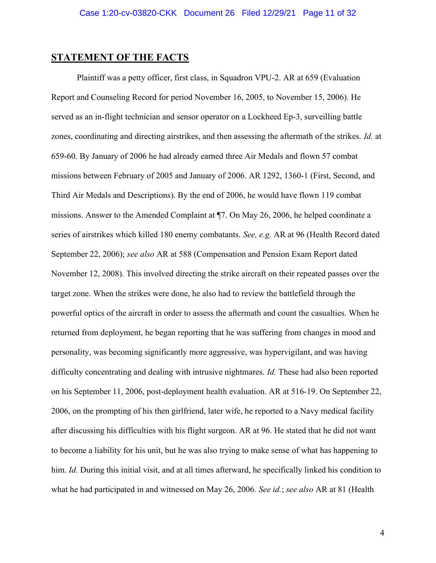### STATEMENT OF THE FACTS

Plaintiff was a petty officer, first class, in Squadron VPU-2. AR at 659 (Evaluation Report and Counseling Record for period November 16, 2005, to November 15, 2006). He served as an in-flight technician and sensor operator on a Lockheed Ep-3, surveilling battle zones, coordinating and directing airstrikes, and then assessing the aftermath of the strikes. Id. at 659-60. By January of 2006 he had already earned three Air Medals and flown 57 combat missions between February of 2005 and January of 2006. AR 1292, 1360-1 (First, Second, and Third Air Medals and Descriptions). By the end of 2006, he would have flown 119 combat missions. Answer to the Amended Complaint at ¶7. On May 26, 2006, he helped coordinate a series of airstrikes which killed 180 enemy combatants. See, e.g. AR at 96 (Health Record dated September 22, 2006); see also AR at 588 (Compensation and Pension Exam Report dated November 12, 2008). This involved directing the strike aircraft on their repeated passes over the target zone. When the strikes were done, he also had to review the battlefield through the powerful optics of the aircraft in order to assess the aftermath and count the casualties. When he returned from deployment, he began reporting that he was suffering from changes in mood and personality, was becoming significantly more aggressive, was hypervigilant, and was having difficulty concentrating and dealing with intrusive nightmares. *Id*. These had also been reported on his September 11, 2006, post-deployment health evaluation. AR at 516-19. On September 22, 2006, on the prompting of his then girlfriend, later wife, he reported to a Navy medical facility after discussing his difficulties with his flight surgeon. AR at 96. He stated that he did not want to become a liability for his unit, but he was also trying to make sense of what has happening to him. Id. During this initial visit, and at all times afterward, he specifically linked his condition to what he had participated in and witnessed on May 26, 2006. See id.; see also AR at 81 (Health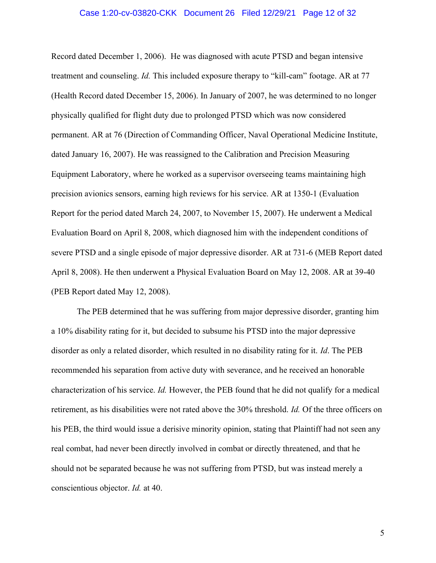#### Case 1:20-cv-03820-CKK Document 26 Filed 12/29/21 Page 12 of 32

Record dated December 1, 2006). He was diagnosed with acute PTSD and began intensive treatment and counseling. Id. This included exposure therapy to "kill-cam" footage. AR at 77 (Health Record dated December 15, 2006). In January of 2007, he was determined to no longer physically qualified for flight duty due to prolonged PTSD which was now considered permanent. AR at 76 (Direction of Commanding Officer, Naval Operational Medicine Institute, dated January 16, 2007). He was reassigned to the Calibration and Precision Measuring Equipment Laboratory, where he worked as a supervisor overseeing teams maintaining high precision avionics sensors, earning high reviews for his service. AR at 1350-1 (Evaluation Report for the period dated March 24, 2007, to November 15, 2007). He underwent a Medical Evaluation Board on April 8, 2008, which diagnosed him with the independent conditions of severe PTSD and a single episode of major depressive disorder. AR at 731-6 (MEB Report dated April 8, 2008). He then underwent a Physical Evaluation Board on May 12, 2008. AR at 39-40 (PEB Report dated May 12, 2008).

The PEB determined that he was suffering from major depressive disorder, granting him a 10% disability rating for it, but decided to subsume his PTSD into the major depressive disorder as only a related disorder, which resulted in no disability rating for it. Id. The PEB recommended his separation from active duty with severance, and he received an honorable characterization of his service. Id. However, the PEB found that he did not qualify for a medical retirement, as his disabilities were not rated above the 30% threshold. Id. Of the three officers on his PEB, the third would issue a derisive minority opinion, stating that Plaintiff had not seen any real combat, had never been directly involved in combat or directly threatened, and that he should not be separated because he was not suffering from PTSD, but was instead merely a conscientious objector. Id. at 40.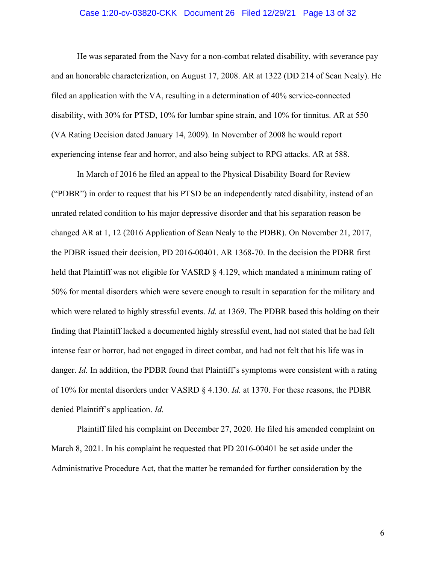#### Case 1:20-cv-03820-CKK Document 26 Filed 12/29/21 Page 13 of 32

He was separated from the Navy for a non-combat related disability, with severance pay and an honorable characterization, on August 17, 2008. AR at 1322 (DD 214 of Sean Nealy). He filed an application with the VA, resulting in a determination of 40% service-connected disability, with 30% for PTSD, 10% for lumbar spine strain, and 10% for tinnitus. AR at 550 (VA Rating Decision dated January 14, 2009). In November of 2008 he would report experiencing intense fear and horror, and also being subject to RPG attacks. AR at 588.

In March of 2016 he filed an appeal to the Physical Disability Board for Review ("PDBR") in order to request that his PTSD be an independently rated disability, instead of an unrated related condition to his major depressive disorder and that his separation reason be changed AR at 1, 12 (2016 Application of Sean Nealy to the PDBR). On November 21, 2017, the PDBR issued their decision, PD 2016-00401. AR 1368-70. In the decision the PDBR first held that Plaintiff was not eligible for VASRD § 4.129, which mandated a minimum rating of 50% for mental disorders which were severe enough to result in separation for the military and which were related to highly stressful events. *Id.* at 1369. The PDBR based this holding on their finding that Plaintiff lacked a documented highly stressful event, had not stated that he had felt intense fear or horror, had not engaged in direct combat, and had not felt that his life was in danger. Id. In addition, the PDBR found that Plaintiff's symptoms were consistent with a rating of 10% for mental disorders under VASRD § 4.130. Id. at 1370. For these reasons, the PDBR denied Plaintiff's application. Id.

Plaintiff filed his complaint on December 27, 2020. He filed his amended complaint on March 8, 2021. In his complaint he requested that PD 2016-00401 be set aside under the Administrative Procedure Act, that the matter be remanded for further consideration by the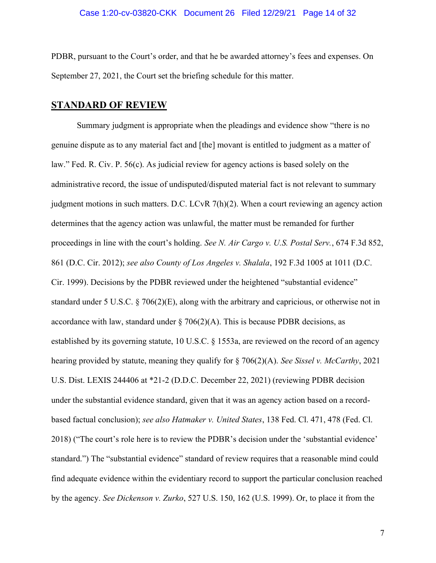PDBR, pursuant to the Court's order, and that he be awarded attorney's fees and expenses. On September 27, 2021, the Court set the briefing schedule for this matter.

## STANDARD OF REVIEW

Summary judgment is appropriate when the pleadings and evidence show "there is no genuine dispute as to any material fact and [the] movant is entitled to judgment as a matter of law." Fed. R. Civ. P. 56(c). As judicial review for agency actions is based solely on the administrative record, the issue of undisputed/disputed material fact is not relevant to summary judgment motions in such matters. D.C. LCvR 7(h)(2). When a court reviewing an agency action determines that the agency action was unlawful, the matter must be remanded for further proceedings in line with the court's holding. See N. Air Cargo v. U.S. Postal Serv., 674 F.3d 852, 861 (D.C. Cir. 2012); see also County of Los Angeles v. Shalala, 192 F.3d 1005 at 1011 (D.C. Cir. 1999). Decisions by the PDBR reviewed under the heightened "substantial evidence" standard under 5 U.S.C. § 706(2)(E), along with the arbitrary and capricious, or otherwise not in accordance with law, standard under  $\S 706(2)$ (A). This is because PDBR decisions, as established by its governing statute, 10 U.S.C. § 1553a, are reviewed on the record of an agency hearing provided by statute, meaning they qualify for  $\S 706(2)(A)$ . See Sissel v. McCarthy, 2021 U.S. Dist. LEXIS 244406 at \*21-2 (D.D.C. December 22, 2021) (reviewing PDBR decision under the substantial evidence standard, given that it was an agency action based on a recordbased factual conclusion); see also Hatmaker v. United States, 138 Fed. Cl. 471, 478 (Fed. Cl. 2018) ("The court's role here is to review the PDBR's decision under the 'substantial evidence' standard.") The "substantial evidence" standard of review requires that a reasonable mind could find adequate evidence within the evidentiary record to support the particular conclusion reached by the agency. See Dickenson v. Zurko, 527 U.S. 150, 162 (U.S. 1999). Or, to place it from the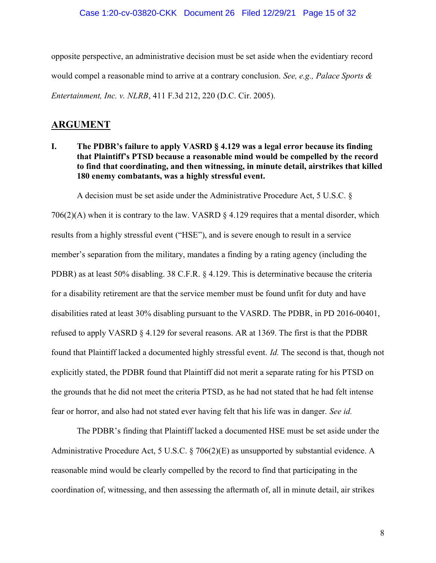opposite perspective, an administrative decision must be set aside when the evidentiary record would compel a reasonable mind to arrive at a contrary conclusion. See, e.g., Palace Sports  $\&$ Entertainment, Inc. v. NLRB, 411 F.3d 212, 220 (D.C. Cir. 2005).

## ARGUMENT

## I. The PDBR's failure to apply VASRD § 4.129 was a legal error because its finding that Plaintiff's PTSD because a reasonable mind would be compelled by the record to find that coordinating, and then witnessing, in minute detail, airstrikes that killed 180 enemy combatants, was a highly stressful event.

A decision must be set aside under the Administrative Procedure Act, 5 U.S.C. §

 $706(2)$ (A) when it is contrary to the law. VASRD  $\S$  4.129 requires that a mental disorder, which results from a highly stressful event ("HSE"), and is severe enough to result in a service member's separation from the military, mandates a finding by a rating agency (including the PDBR) as at least 50% disabling. 38 C.F.R. § 4.129. This is determinative because the criteria for a disability retirement are that the service member must be found unfit for duty and have disabilities rated at least 30% disabling pursuant to the VASRD. The PDBR, in PD 2016-00401, refused to apply VASRD § 4.129 for several reasons. AR at 1369. The first is that the PDBR found that Plaintiff lacked a documented highly stressful event. Id. The second is that, though not explicitly stated, the PDBR found that Plaintiff did not merit a separate rating for his PTSD on the grounds that he did not meet the criteria PTSD, as he had not stated that he had felt intense fear or horror, and also had not stated ever having felt that his life was in danger. See id.

The PDBR's finding that Plaintiff lacked a documented HSE must be set aside under the Administrative Procedure Act, 5 U.S.C. § 706(2)(E) as unsupported by substantial evidence. A reasonable mind would be clearly compelled by the record to find that participating in the coordination of, witnessing, and then assessing the aftermath of, all in minute detail, air strikes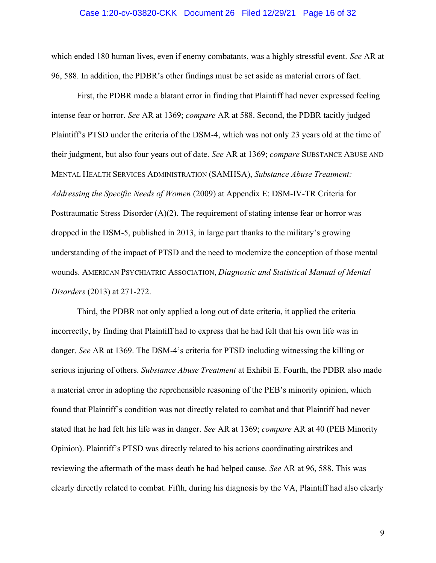#### Case 1:20-cv-03820-CKK Document 26 Filed 12/29/21 Page 16 of 32

which ended 180 human lives, even if enemy combatants, was a highly stressful event. See AR at 96, 588. In addition, the PDBR's other findings must be set aside as material errors of fact.

First, the PDBR made a blatant error in finding that Plaintiff had never expressed feeling intense fear or horror. See AR at 1369; compare AR at 588. Second, the PDBR tacitly judged Plaintiff's PTSD under the criteria of the DSM-4, which was not only 23 years old at the time of their judgment, but also four years out of date. See AR at 1369; compare SUBSTANCE ABUSE AND MENTAL HEALTH SERVICES ADMINISTRATION (SAMHSA), Substance Abuse Treatment: Addressing the Specific Needs of Women (2009) at Appendix E: DSM-IV-TR Criteria for Posttraumatic Stress Disorder (A)(2). The requirement of stating intense fear or horror was dropped in the DSM-5, published in 2013, in large part thanks to the military's growing understanding of the impact of PTSD and the need to modernize the conception of those mental wounds. AMERICAN PSYCHIATRIC ASSOCIATION, Diagnostic and Statistical Manual of Mental Disorders (2013) at 271-272.

Third, the PDBR not only applied a long out of date criteria, it applied the criteria incorrectly, by finding that Plaintiff had to express that he had felt that his own life was in danger. See AR at 1369. The DSM-4's criteria for PTSD including witnessing the killing or serious injuring of others. Substance Abuse Treatment at Exhibit E. Fourth, the PDBR also made a material error in adopting the reprehensible reasoning of the PEB's minority opinion, which found that Plaintiff's condition was not directly related to combat and that Plaintiff had never stated that he had felt his life was in danger. See AR at 1369; compare AR at 40 (PEB Minority Opinion). Plaintiff's PTSD was directly related to his actions coordinating airstrikes and reviewing the aftermath of the mass death he had helped cause. See AR at 96, 588. This was clearly directly related to combat. Fifth, during his diagnosis by the VA, Plaintiff had also clearly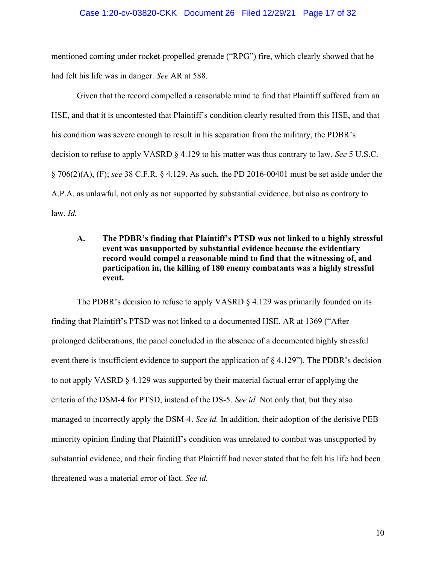### Case 1:20-cv-03820-CKK Document 26 Filed 12/29/21 Page 17 of 32

mentioned coming under rocket-propelled grenade ("RPG") fire, which clearly showed that he had felt his life was in danger. See AR at 588.

Given that the record compelled a reasonable mind to find that Plaintiff suffered from an HSE, and that it is uncontested that Plaintiff's condition clearly resulted from this HSE, and that his condition was severe enough to result in his separation from the military, the PDBR's decision to refuse to apply VASRD § 4.129 to his matter was thus contrary to law. See 5 U.S.C.  $\S 706(2)$ (A), (F); see 38 C.F.R.  $\S 4.129$ . As such, the PD 2016-00401 must be set aside under the A.P.A. as unlawful, not only as not supported by substantial evidence, but also as contrary to  $law. Id.$ 

A. The PDBR's finding that Plaintiff's PTSD was not linked to a highly stressful event was unsupported by substantial evidence because the evidentiary record would compel a reasonable mind to find that the witnessing of, and participation in, the killing of 180 enemy combatants was a highly stressful event.

The PDBR's decision to refuse to apply VASRD  $\S$  4.129 was primarily founded on its finding that Plaintiff's PTSD was not linked to a documented HSE. AR at 1369 ("After prolonged deliberations, the panel concluded in the absence of a documented highly stressful event there is insufficient evidence to support the application of § 4.129"). The PDBR's decision to not apply VASRD § 4.129 was supported by their material factual error of applying the criteria of the DSM-4 for PTSD, instead of the DS-5. See id. Not only that, but they also managed to incorrectly apply the DSM-4. See id. In addition, their adoption of the derisive PEB minority opinion finding that Plaintiff's condition was unrelated to combat was unsupported by substantial evidence, and their finding that Plaintiff had never stated that he felt his life had been threatened was a material error of fact. See id.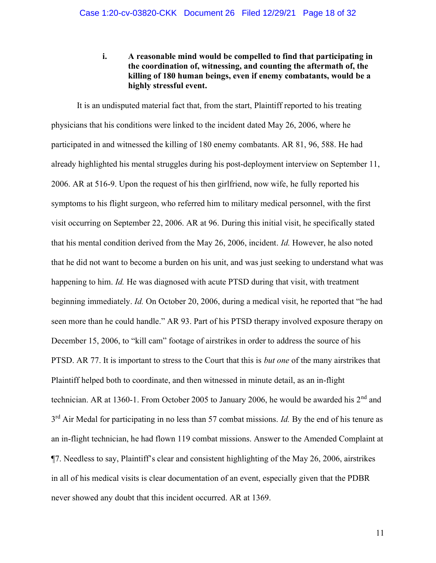i. A reasonable mind would be compelled to find that participating in the coordination of, witnessing, and counting the aftermath of, the killing of 180 human beings, even if enemy combatants, would be a highly stressful event.

It is an undisputed material fact that, from the start, Plaintiff reported to his treating physicians that his conditions were linked to the incident dated May 26, 2006, where he participated in and witnessed the killing of 180 enemy combatants. AR 81, 96, 588. He had already highlighted his mental struggles during his post-deployment interview on September 11, 2006. AR at 516-9. Upon the request of his then girlfriend, now wife, he fully reported his symptoms to his flight surgeon, who referred him to military medical personnel, with the first visit occurring on September 22, 2006. AR at 96. During this initial visit, he specifically stated that his mental condition derived from the May 26, 2006, incident. Id. However, he also noted that he did not want to become a burden on his unit, and was just seeking to understand what was happening to him. Id. He was diagnosed with acute PTSD during that visit, with treatment beginning immediately. Id. On October 20, 2006, during a medical visit, he reported that "he had seen more than he could handle." AR 93. Part of his PTSD therapy involved exposure therapy on December 15, 2006, to "kill cam" footage of airstrikes in order to address the source of his PTSD. AR 77. It is important to stress to the Court that this is *but one* of the many airstrikes that Plaintiff helped both to coordinate, and then witnessed in minute detail, as an in-flight technician. AR at 1360-1. From October 2005 to January 2006, he would be awarded his 2<sup>nd</sup> and  $3<sup>rd</sup>$  Air Medal for participating in no less than 57 combat missions. *Id*. By the end of his tenure as an in-flight technician, he had flown 119 combat missions. Answer to the Amended Complaint at ¶7. Needless to say, Plaintiff's clear and consistent highlighting of the May 26, 2006, airstrikes in all of his medical visits is clear documentation of an event, especially given that the PDBR never showed any doubt that this incident occurred. AR at 1369.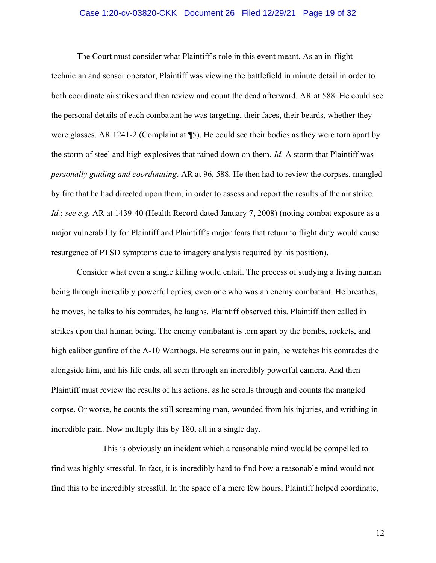### Case 1:20-cv-03820-CKK Document 26 Filed 12/29/21 Page 19 of 32

 The Court must consider what Plaintiff's role in this event meant. As an in-flight technician and sensor operator, Plaintiff was viewing the battlefield in minute detail in order to both coordinate airstrikes and then review and count the dead afterward. AR at 588. He could see the personal details of each combatant he was targeting, their faces, their beards, whether they wore glasses. AR 1241-2 (Complaint at ¶5). He could see their bodies as they were torn apart by the storm of steel and high explosives that rained down on them. Id. A storm that Plaintiff was personally guiding and coordinating. AR at 96, 588. He then had to review the corpses, mangled by fire that he had directed upon them, in order to assess and report the results of the air strike. Id.; see e.g. AR at 1439-40 (Health Record dated January 7, 2008) (noting combat exposure as a major vulnerability for Plaintiff and Plaintiff's major fears that return to flight duty would cause resurgence of PTSD symptoms due to imagery analysis required by his position).

 Consider what even a single killing would entail. The process of studying a living human being through incredibly powerful optics, even one who was an enemy combatant. He breathes, he moves, he talks to his comrades, he laughs. Plaintiff observed this. Plaintiff then called in strikes upon that human being. The enemy combatant is torn apart by the bombs, rockets, and high caliber gunfire of the A-10 Warthogs. He screams out in pain, he watches his comrades die alongside him, and his life ends, all seen through an incredibly powerful camera. And then Plaintiff must review the results of his actions, as he scrolls through and counts the mangled corpse. Or worse, he counts the still screaming man, wounded from his injuries, and writhing in incredible pain. Now multiply this by 180, all in a single day.

 This is obviously an incident which a reasonable mind would be compelled to find was highly stressful. In fact, it is incredibly hard to find how a reasonable mind would not find this to be incredibly stressful. In the space of a mere few hours, Plaintiff helped coordinate,

12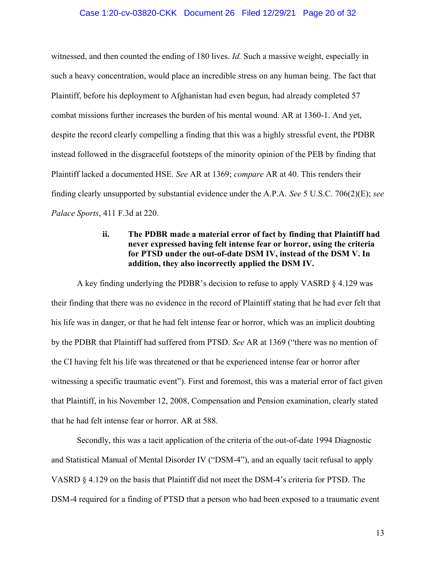### Case 1:20-cv-03820-CKK Document 26 Filed 12/29/21 Page 20 of 32

witnessed, and then counted the ending of 180 lives. Id. Such a massive weight, especially in such a heavy concentration, would place an incredible stress on any human being. The fact that Plaintiff, before his deployment to Afghanistan had even begun, had already completed 57 combat missions further increases the burden of his mental wound. AR at 1360-1. And yet, despite the record clearly compelling a finding that this was a highly stressful event, the PDBR instead followed in the disgraceful footsteps of the minority opinion of the PEB by finding that Plaintiff lacked a documented HSE. See AR at 1369; compare AR at 40. This renders their finding clearly unsupported by substantial evidence under the A.P.A. See 5 U.S.C. 706(2)(E); see Palace Sports, 411 F.3d at 220.

## ii. The PDBR made a material error of fact by finding that Plaintiff had never expressed having felt intense fear or horror, using the criteria for PTSD under the out-of-date DSM IV, instead of the DSM V. In addition, they also incorrectly applied the DSM IV.

A key finding underlying the PDBR's decision to refuse to apply VASRD § 4.129 was their finding that there was no evidence in the record of Plaintiff stating that he had ever felt that his life was in danger, or that he had felt intense fear or horror, which was an implicit doubting by the PDBR that Plaintiff had suffered from PTSD. See AR at 1369 ("there was no mention of the CI having felt his life was threatened or that he experienced intense fear or horror after witnessing a specific traumatic event"). First and foremost, this was a material error of fact given that Plaintiff, in his November 12, 2008, Compensation and Pension examination, clearly stated that he had felt intense fear or horror. AR at 588.

Secondly, this was a tacit application of the criteria of the out-of-date 1994 Diagnostic and Statistical Manual of Mental Disorder IV ("DSM-4"), and an equally tacit refusal to apply VASRD § 4.129 on the basis that Plaintiff did not meet the DSM-4's criteria for PTSD. The DSM-4 required for a finding of PTSD that a person who had been exposed to a traumatic event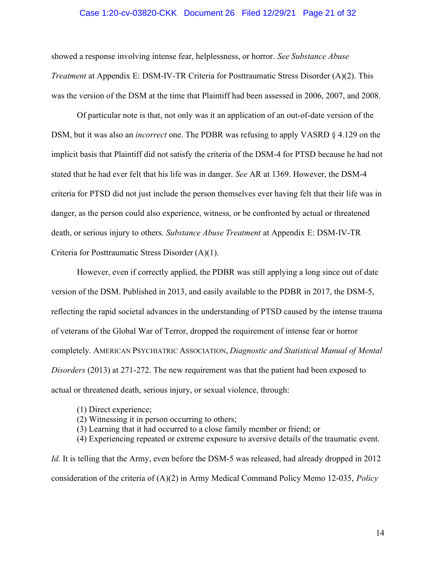### Case 1:20-cv-03820-CKK Document 26 Filed 12/29/21 Page 21 of 32

showed a response involving intense fear, helplessness, or horror. See Substance Abuse Treatment at Appendix E: DSM-IV-TR Criteria for Posttraumatic Stress Disorder (A)(2). This was the version of the DSM at the time that Plaintiff had been assessed in 2006, 2007, and 2008.

 Of particular note is that, not only was it an application of an out-of-date version of the DSM, but it was also an *incorrect* one. The PDBR was refusing to apply VASRD  $\S 4.129$  on the implicit basis that Plaintiff did not satisfy the criteria of the DSM-4 for PTSD because he had not stated that he had ever felt that his life was in danger. See AR at 1369. However, the DSM-4 criteria for PTSD did not just include the person themselves ever having felt that their life was in danger, as the person could also experience, witness, or be confronted by actual or threatened death, or serious injury to others. Substance Abuse Treatment at Appendix E: DSM-IV-TR Criteria for Posttraumatic Stress Disorder (A)(1).

However, even if correctly applied, the PDBR was still applying a long since out of date version of the DSM. Published in 2013, and easily available to the PDBR in 2017, the DSM-5, reflecting the rapid societal advances in the understanding of PTSD caused by the intense trauma of veterans of the Global War of Terror, dropped the requirement of intense fear or horror completely. AMERICAN PSYCHIATRIC ASSOCIATION, Diagnostic and Statistical Manual of Mental Disorders (2013) at 271-272. The new requirement was that the patient had been exposed to actual or threatened death, serious injury, or sexual violence, through:

- (1) Direct experience;
- (2) Witnessing it in person occurring to others;
- (3) Learning that it had occurred to a close family member or friend; or
- (4) Experiencing repeated or extreme exposure to aversive details of the traumatic event.

Id. It is telling that the Army, even before the DSM-5 was released, had already dropped in 2012 consideration of the criteria of  $(A)(2)$  in Army Medical Command Policy Memo 12-035, *Policy*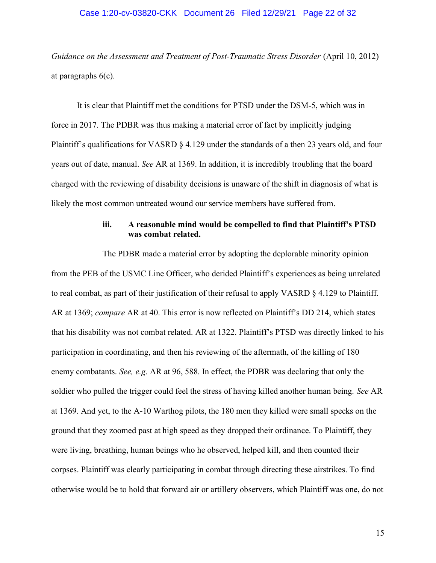#### Case 1:20-cv-03820-CKK Document 26 Filed 12/29/21 Page 22 of 32

Guidance on the Assessment and Treatment of Post-Traumatic Stress Disorder (April 10, 2012) at paragraphs 6(c).

It is clear that Plaintiff met the conditions for PTSD under the DSM-5, which was in force in 2017. The PDBR was thus making a material error of fact by implicitly judging Plaintiff's qualifications for VASRD § 4.129 under the standards of a then 23 years old, and four years out of date, manual. See AR at 1369. In addition, it is incredibly troubling that the board charged with the reviewing of disability decisions is unaware of the shift in diagnosis of what is likely the most common untreated wound our service members have suffered from.

## iii. A reasonable mind would be compelled to find that Plaintiff's PTSD was combat related.

 The PDBR made a material error by adopting the deplorable minority opinion from the PEB of the USMC Line Officer, who derided Plaintiff's experiences as being unrelated to real combat, as part of their justification of their refusal to apply VASRD § 4.129 to Plaintiff. AR at 1369; *compare* AR at 40. This error is now reflected on Plaintiff's DD 214, which states that his disability was not combat related. AR at 1322. Plaintiff's PTSD was directly linked to his participation in coordinating, and then his reviewing of the aftermath, of the killing of 180 enemy combatants. See, e.g. AR at 96, 588. In effect, the PDBR was declaring that only the soldier who pulled the trigger could feel the stress of having killed another human being. See AR at 1369. And yet, to the A-10 Warthog pilots, the 180 men they killed were small specks on the ground that they zoomed past at high speed as they dropped their ordinance. To Plaintiff, they were living, breathing, human beings who he observed, helped kill, and then counted their corpses. Plaintiff was clearly participating in combat through directing these airstrikes. To find otherwise would be to hold that forward air or artillery observers, which Plaintiff was one, do not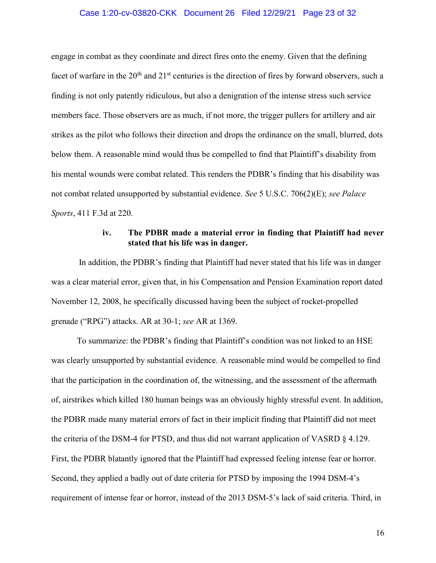#### Case 1:20-cv-03820-CKK Document 26 Filed 12/29/21 Page 23 of 32

engage in combat as they coordinate and direct fires onto the enemy. Given that the defining facet of warfare in the  $20<sup>th</sup>$  and  $21<sup>st</sup>$  centuries is the direction of fires by forward observers, such a finding is not only patently ridiculous, but also a denigration of the intense stress such service members face. Those observers are as much, if not more, the trigger pullers for artillery and air strikes as the pilot who follows their direction and drops the ordinance on the small, blurred, dots below them. A reasonable mind would thus be compelled to find that Plaintiff's disability from his mental wounds were combat related. This renders the PDBR's finding that his disability was not combat related unsupported by substantial evidence. See 5 U.S.C. 706(2)(E); see Palace Sports, 411 F.3d at 220.

### iv. The PDBR made a material error in finding that Plaintiff had never stated that his life was in danger.

 In addition, the PDBR's finding that Plaintiff had never stated that his life was in danger was a clear material error, given that, in his Compensation and Pension Examination report dated November 12, 2008, he specifically discussed having been the subject of rocket-propelled grenade ("RPG") attacks. AR at 30-1; see AR at 1369.

 To summarize: the PDBR's finding that Plaintiff's condition was not linked to an HSE was clearly unsupported by substantial evidence. A reasonable mind would be compelled to find that the participation in the coordination of, the witnessing, and the assessment of the aftermath of, airstrikes which killed 180 human beings was an obviously highly stressful event. In addition, the PDBR made many material errors of fact in their implicit finding that Plaintiff did not meet the criteria of the DSM-4 for PTSD, and thus did not warrant application of VASRD § 4.129. First, the PDBR blatantly ignored that the Plaintiff had expressed feeling intense fear or horror. Second, they applied a badly out of date criteria for PTSD by imposing the 1994 DSM-4's requirement of intense fear or horror, instead of the 2013 DSM-5's lack of said criteria. Third, in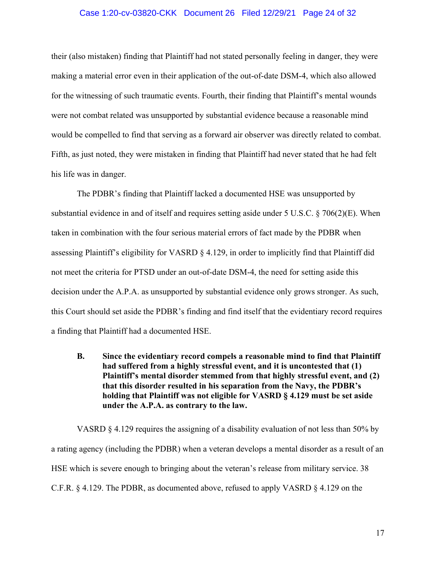### Case 1:20-cv-03820-CKK Document 26 Filed 12/29/21 Page 24 of 32

their (also mistaken) finding that Plaintiff had not stated personally feeling in danger, they were making a material error even in their application of the out-of-date DSM-4, which also allowed for the witnessing of such traumatic events. Fourth, their finding that Plaintiff's mental wounds were not combat related was unsupported by substantial evidence because a reasonable mind would be compelled to find that serving as a forward air observer was directly related to combat. Fifth, as just noted, they were mistaken in finding that Plaintiff had never stated that he had felt his life was in danger.

The PDBR's finding that Plaintiff lacked a documented HSE was unsupported by substantial evidence in and of itself and requires setting aside under 5 U.S.C. § 706(2)(E). When taken in combination with the four serious material errors of fact made by the PDBR when assessing Plaintiff's eligibility for VASRD § 4.129, in order to implicitly find that Plaintiff did not meet the criteria for PTSD under an out-of-date DSM-4, the need for setting aside this decision under the A.P.A. as unsupported by substantial evidence only grows stronger. As such, this Court should set aside the PDBR's finding and find itself that the evidentiary record requires a finding that Plaintiff had a documented HSE.

B. Since the evidentiary record compels a reasonable mind to find that Plaintiff had suffered from a highly stressful event, and it is uncontested that (1) Plaintiff's mental disorder stemmed from that highly stressful event, and (2) that this disorder resulted in his separation from the Navy, the PDBR's holding that Plaintiff was not eligible for VASRD § 4.129 must be set aside under the A.P.A. as contrary to the law.

VASRD § 4.129 requires the assigning of a disability evaluation of not less than 50% by a rating agency (including the PDBR) when a veteran develops a mental disorder as a result of an HSE which is severe enough to bringing about the veteran's release from military service. 38 C.F.R. § 4.129. The PDBR, as documented above, refused to apply VASRD § 4.129 on the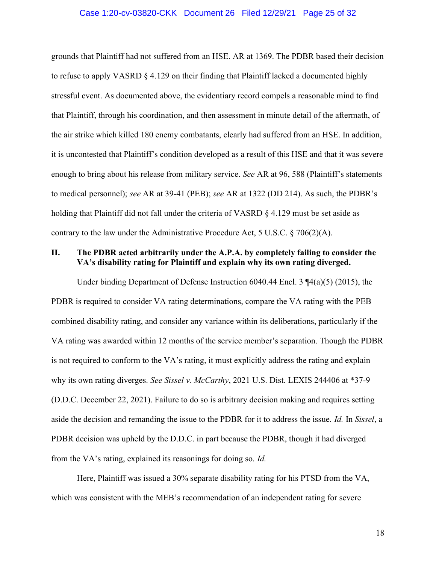#### Case 1:20-cv-03820-CKK Document 26 Filed 12/29/21 Page 25 of 32

grounds that Plaintiff had not suffered from an HSE. AR at 1369. The PDBR based their decision to refuse to apply VASRD § 4.129 on their finding that Plaintiff lacked a documented highly stressful event. As documented above, the evidentiary record compels a reasonable mind to find that Plaintiff, through his coordination, and then assessment in minute detail of the aftermath, of the air strike which killed 180 enemy combatants, clearly had suffered from an HSE. In addition, it is uncontested that Plaintiff's condition developed as a result of this HSE and that it was severe enough to bring about his release from military service. See AR at 96, 588 (Plaintiff's statements to medical personnel); see AR at 39-41 (PEB); see AR at 1322 (DD 214). As such, the PDBR's holding that Plaintiff did not fall under the criteria of VASRD § 4.129 must be set aside as contrary to the law under the Administrative Procedure Act, 5 U.S.C.  $\S 706(2)(A)$ .

## II. The PDBR acted arbitrarily under the A.P.A. by completely failing to consider the VA's disability rating for Plaintiff and explain why its own rating diverged.

Under binding Department of Defense Instruction 6040.44 Encl. 3 ¶4(a)(5) (2015), the PDBR is required to consider VA rating determinations, compare the VA rating with the PEB combined disability rating, and consider any variance within its deliberations, particularly if the VA rating was awarded within 12 months of the service member's separation. Though the PDBR is not required to conform to the VA's rating, it must explicitly address the rating and explain why its own rating diverges. See Sissel v. McCarthy, 2021 U.S. Dist. LEXIS 244406 at \*37-9 (D.D.C. December 22, 2021). Failure to do so is arbitrary decision making and requires setting aside the decision and remanding the issue to the PDBR for it to address the issue. Id. In Sissel, a PDBR decision was upheld by the D.D.C. in part because the PDBR, though it had diverged from the VA's rating, explained its reasonings for doing so. Id.

Here, Plaintiff was issued a 30% separate disability rating for his PTSD from the VA, which was consistent with the MEB's recommendation of an independent rating for severe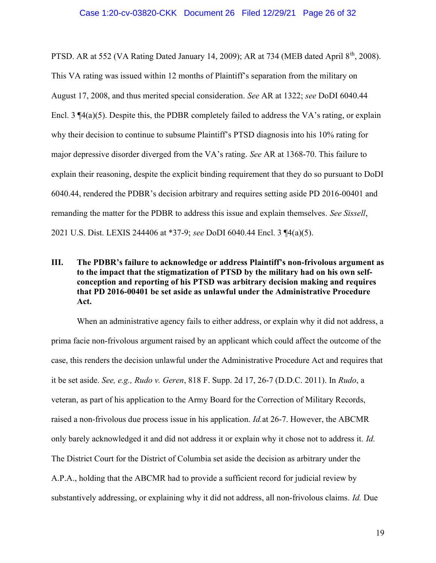#### Case 1:20-cv-03820-CKK Document 26 Filed 12/29/21 Page 26 of 32

PTSD. AR at 552 (VA Rating Dated January 14, 2009); AR at 734 (MEB dated April  $8<sup>th</sup>$ , 2008). This VA rating was issued within 12 months of Plaintiff's separation from the military on August 17, 2008, and thus merited special consideration. See AR at 1322; see DoDI 6040.44 Encl. 3  $\P(4(a)(5))$ . Despite this, the PDBR completely failed to address the VA's rating, or explain why their decision to continue to subsume Plaintiff's PTSD diagnosis into his 10% rating for major depressive disorder diverged from the VA's rating. See AR at 1368-70. This failure to explain their reasoning, despite the explicit binding requirement that they do so pursuant to DoDI 6040.44, rendered the PDBR's decision arbitrary and requires setting aside PD 2016-00401 and remanding the matter for the PDBR to address this issue and explain themselves. See Sissell, 2021 U.S. Dist. LEXIS 244406 at \*37-9; see DoDI 6040.44 Encl. 3 ¶4(a)(5).

## III. The PDBR's failure to acknowledge or address Plaintiff's non-frivolous argument as to the impact that the stigmatization of PTSD by the military had on his own selfconception and reporting of his PTSD was arbitrary decision making and requires that PD 2016-00401 be set aside as unlawful under the Administrative Procedure Act.

When an administrative agency fails to either address, or explain why it did not address, a prima facie non-frivolous argument raised by an applicant which could affect the outcome of the case, this renders the decision unlawful under the Administrative Procedure Act and requires that it be set aside. See, e.g., Rudo v. Geren, 818 F. Supp. 2d 17, 26-7 (D.D.C. 2011). In Rudo, a veteran, as part of his application to the Army Board for the Correction of Military Records, raised a non-frivolous due process issue in his application. Id.at 26-7. However, the ABCMR only barely acknowledged it and did not address it or explain why it chose not to address it. Id. The District Court for the District of Columbia set aside the decision as arbitrary under the A.P.A., holding that the ABCMR had to provide a sufficient record for judicial review by substantively addressing, or explaining why it did not address, all non-frivolous claims. Id. Due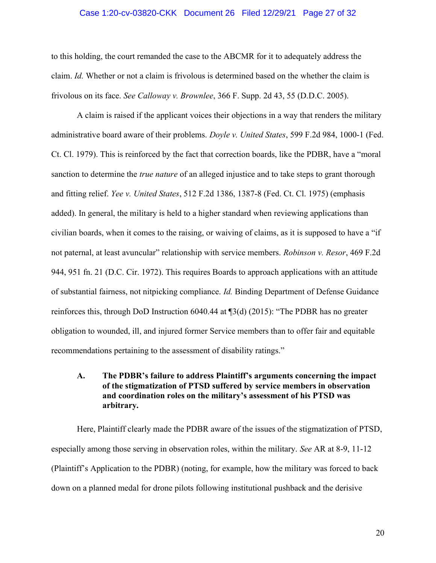### Case 1:20-cv-03820-CKK Document 26 Filed 12/29/21 Page 27 of 32

to this holding, the court remanded the case to the ABCMR for it to adequately address the claim. Id. Whether or not a claim is frivolous is determined based on the whether the claim is frivolous on its face. See Calloway v. Brownlee, 366 F. Supp. 2d 43, 55 (D.D.C. 2005).

 A claim is raised if the applicant voices their objections in a way that renders the military administrative board aware of their problems. Doyle v. United States, 599 F.2d 984, 1000-1 (Fed. Ct. Cl. 1979). This is reinforced by the fact that correction boards, like the PDBR, have a "moral sanction to determine the *true nature* of an alleged injustice and to take steps to grant thorough and fitting relief. Yee v. United States, 512 F.2d 1386, 1387-8 (Fed. Ct. Cl. 1975) (emphasis added). In general, the military is held to a higher standard when reviewing applications than civilian boards, when it comes to the raising, or waiving of claims, as it is supposed to have a "if not paternal, at least avuncular" relationship with service members. Robinson v. Resor, 469 F.2d 944, 951 fn. 21 (D.C. Cir. 1972). This requires Boards to approach applications with an attitude of substantial fairness, not nitpicking compliance. Id. Binding Department of Defense Guidance reinforces this, through DoD Instruction 6040.44 at ¶3(d) (2015): "The PDBR has no greater obligation to wounded, ill, and injured former Service members than to offer fair and equitable recommendations pertaining to the assessment of disability ratings."

## A. The PDBR's failure to address Plaintiff's arguments concerning the impact of the stigmatization of PTSD suffered by service members in observation and coordination roles on the military's assessment of his PTSD was arbitrary.

 Here, Plaintiff clearly made the PDBR aware of the issues of the stigmatization of PTSD, especially among those serving in observation roles, within the military. See AR at 8-9, 11-12 (Plaintiff's Application to the PDBR) (noting, for example, how the military was forced to back down on a planned medal for drone pilots following institutional pushback and the derisive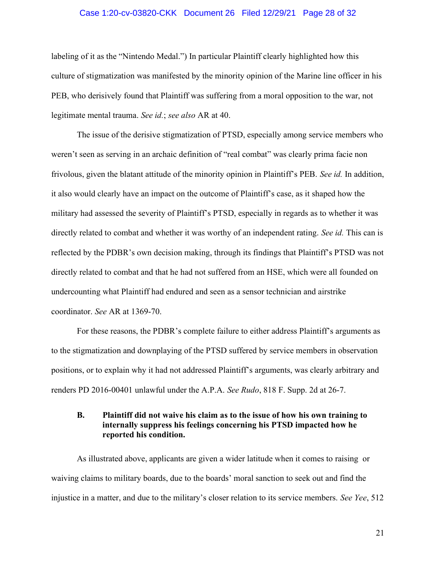### Case 1:20-cv-03820-CKK Document 26 Filed 12/29/21 Page 28 of 32

labeling of it as the "Nintendo Medal.") In particular Plaintiff clearly highlighted how this culture of stigmatization was manifested by the minority opinion of the Marine line officer in his PEB, who derisively found that Plaintiff was suffering from a moral opposition to the war, not legitimate mental trauma. See id.; see also AR at 40.

The issue of the derisive stigmatization of PTSD, especially among service members who weren't seen as serving in an archaic definition of "real combat" was clearly prima facie non frivolous, given the blatant attitude of the minority opinion in Plaintiff's PEB. See id. In addition, it also would clearly have an impact on the outcome of Plaintiff's case, as it shaped how the military had assessed the severity of Plaintiff's PTSD, especially in regards as to whether it was directly related to combat and whether it was worthy of an independent rating. See id. This can is reflected by the PDBR's own decision making, through its findings that Plaintiff's PTSD was not directly related to combat and that he had not suffered from an HSE, which were all founded on undercounting what Plaintiff had endured and seen as a sensor technician and airstrike coordinator. See AR at 1369-70.

For these reasons, the PDBR's complete failure to either address Plaintiff's arguments as to the stigmatization and downplaying of the PTSD suffered by service members in observation positions, or to explain why it had not addressed Plaintiff's arguments, was clearly arbitrary and renders PD 2016-00401 unlawful under the A.P.A. See Rudo, 818 F. Supp. 2d at 26-7.

## B. Plaintiff did not waive his claim as to the issue of how his own training to internally suppress his feelings concerning his PTSD impacted how he reported his condition.

As illustrated above, applicants are given a wider latitude when it comes to raising or waiving claims to military boards, due to the boards' moral sanction to seek out and find the injustice in a matter, and due to the military's closer relation to its service members. See Yee, 512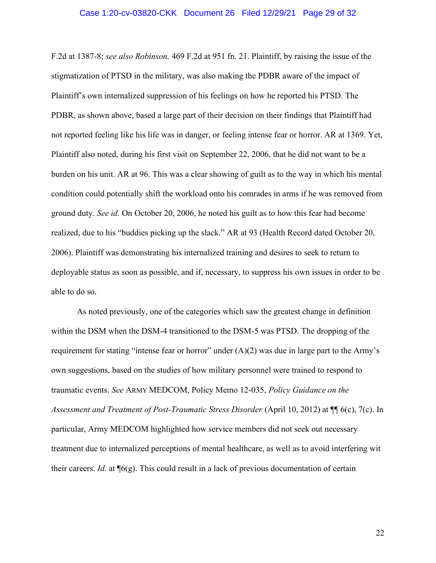#### Case 1:20-cv-03820-CKK Document 26 Filed 12/29/21 Page 29 of 32

F.2d at 1387-8; see also Robinson, 469 F.2d at 951 fn. 21. Plaintiff, by raising the issue of the stigmatization of PTSD in the military, was also making the PDBR aware of the impact of Plaintiff's own internalized suppression of his feelings on how he reported his PTSD. The PDBR, as shown above, based a large part of their decision on their findings that Plaintiff had not reported feeling like his life was in danger, or feeling intense fear or horror. AR at 1369. Yet, Plaintiff also noted, during his first visit on September 22, 2006, that he did not want to be a burden on his unit. AR at 96. This was a clear showing of guilt as to the way in which his mental condition could potentially shift the workload onto his comrades in arms if he was removed from ground duty. See id. On October 20, 2006, he noted his guilt as to how this fear had become realized, due to his "buddies picking up the slack." AR at 93 (Health Record dated October 20, 2006). Plaintiff was demonstrating his internalized training and desires to seek to return to deployable status as soon as possible, and if, necessary, to suppress his own issues in order to be able to do so.

As noted previously, one of the categories which saw the greatest change in definition within the DSM when the DSM-4 transitioned to the DSM-5 was PTSD. The dropping of the requirement for stating "intense fear or horror" under  $(A)(2)$  was due in large part to the Army's own suggestions, based on the studies of how military personnel were trained to respond to traumatic events. See ARMY MEDCOM, Policy Memo 12-035, Policy Guidance on the Assessment and Treatment of Post-Traumatic Stress Disorder (April 10, 2012) at ¶¶ 6(c), 7(c). In particular, Army MEDCOM highlighted how service members did not seek out necessary treatment due to internalized perceptions of mental healthcare, as well as to avoid interfering wit their careers. *Id.* at  $\mathcal{P}(6)$ . This could result in a lack of previous documentation of certain

22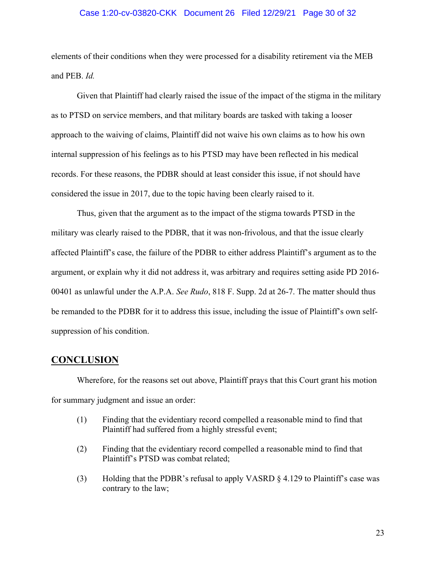### Case 1:20-cv-03820-CKK Document 26 Filed 12/29/21 Page 30 of 32

elements of their conditions when they were processed for a disability retirement via the MEB and PEB. Id.

Given that Plaintiff had clearly raised the issue of the impact of the stigma in the military as to PTSD on service members, and that military boards are tasked with taking a looser approach to the waiving of claims, Plaintiff did not waive his own claims as to how his own internal suppression of his feelings as to his PTSD may have been reflected in his medical records. For these reasons, the PDBR should at least consider this issue, if not should have considered the issue in 2017, due to the topic having been clearly raised to it.

Thus, given that the argument as to the impact of the stigma towards PTSD in the military was clearly raised to the PDBR, that it was non-frivolous, and that the issue clearly affected Plaintiff's case, the failure of the PDBR to either address Plaintiff's argument as to the argument, or explain why it did not address it, was arbitrary and requires setting aside PD 2016- 00401 as unlawful under the A.P.A. See Rudo, 818 F. Supp. 2d at 26-7. The matter should thus be remanded to the PDBR for it to address this issue, including the issue of Plaintiff's own selfsuppression of his condition.

## **CONCLUSION**

 Wherefore, for the reasons set out above, Plaintiff prays that this Court grant his motion for summary judgment and issue an order:

- (1) Finding that the evidentiary record compelled a reasonable mind to find that Plaintiff had suffered from a highly stressful event;
- (2) Finding that the evidentiary record compelled a reasonable mind to find that Plaintiff's PTSD was combat related;
- (3) Holding that the PDBR's refusal to apply VASRD § 4.129 to Plaintiff's case was contrary to the law;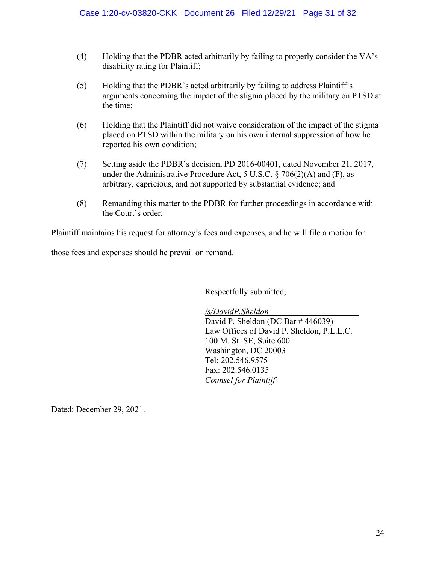- (4) Holding that the PDBR acted arbitrarily by failing to properly consider the VA's disability rating for Plaintiff;
- (5) Holding that the PDBR's acted arbitrarily by failing to address Plaintiff's arguments concerning the impact of the stigma placed by the military on PTSD at the time;
- (6) Holding that the Plaintiff did not waive consideration of the impact of the stigma placed on PTSD within the military on his own internal suppression of how he reported his own condition;
- (7) Setting aside the PDBR's decision, PD 2016-00401, dated November 21, 2017, under the Administrative Procedure Act, 5 U.S.C.  $\S$  706(2)(A) and (F), as arbitrary, capricious, and not supported by substantial evidence; and
- (8) Remanding this matter to the PDBR for further proceedings in accordance with the Court's order.

Plaintiff maintains his request for attorney's fees and expenses, and he will file a motion for

those fees and expenses should he prevail on remand.

Respectfully submitted,

/s/DavidP.Sheldon

David P. Sheldon (DC Bar # 446039) Law Offices of David P. Sheldon, P.L.L.C. 100 M. St. SE, Suite 600 Washington, DC 20003 Tel: 202.546.9575 Fax: 202.546.0135 Counsel for Plaintiff

Dated: December 29, 2021.